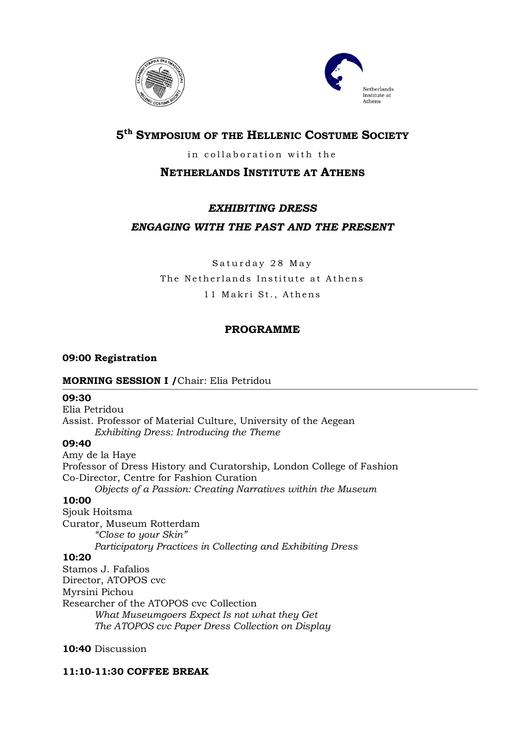



# **5 th SYMPOSIUM OF THE HELLENIC COSTUME SOCIETY**

## in collaboration with the

## **NETHERLANDS INSTITUTE AT ATHENS**

## *EXHIBITING DRESS*

## *ENGAGING WITH THE PAST AND THE PRESENT*

Saturday 28 May The Netherlands Institute at Athens 11 Makri St., Athens

## **PROGRAMME**

## **09:00 Registration**

### **MORNING SESSION I /**Chair: Elia Petridou

### **09:30**

Elia Petridou Assist. Professor of Material Culture, University of the Aegean *Exhibiting Dress: Introducing the Theme* 

## **09:40**

Amy de la Haye Professor of Dress History and Curatorship, London College of Fashion Co-Director, Centre for Fashion Curation *Objects of a Passion: Creating Narratives within the Museum* **10:00** Sjouk Hoitsma

Curator, Museum Rotterdam *"Close to your Skin" Participatory Practices in Collecting and Exhibiting Dress* **10:20** Stamos J. Fafalios Director, ATOPOS cvc Myrsini Pichou Researcher of the ATOPOS cvc Collection *What Museumgoers Expect Is not what they Get*

*The ATOPOS cvc Paper Dress Collection on Display*

## **10:40** Discussion

## **11:10-11:30 COFFEE BREAK**